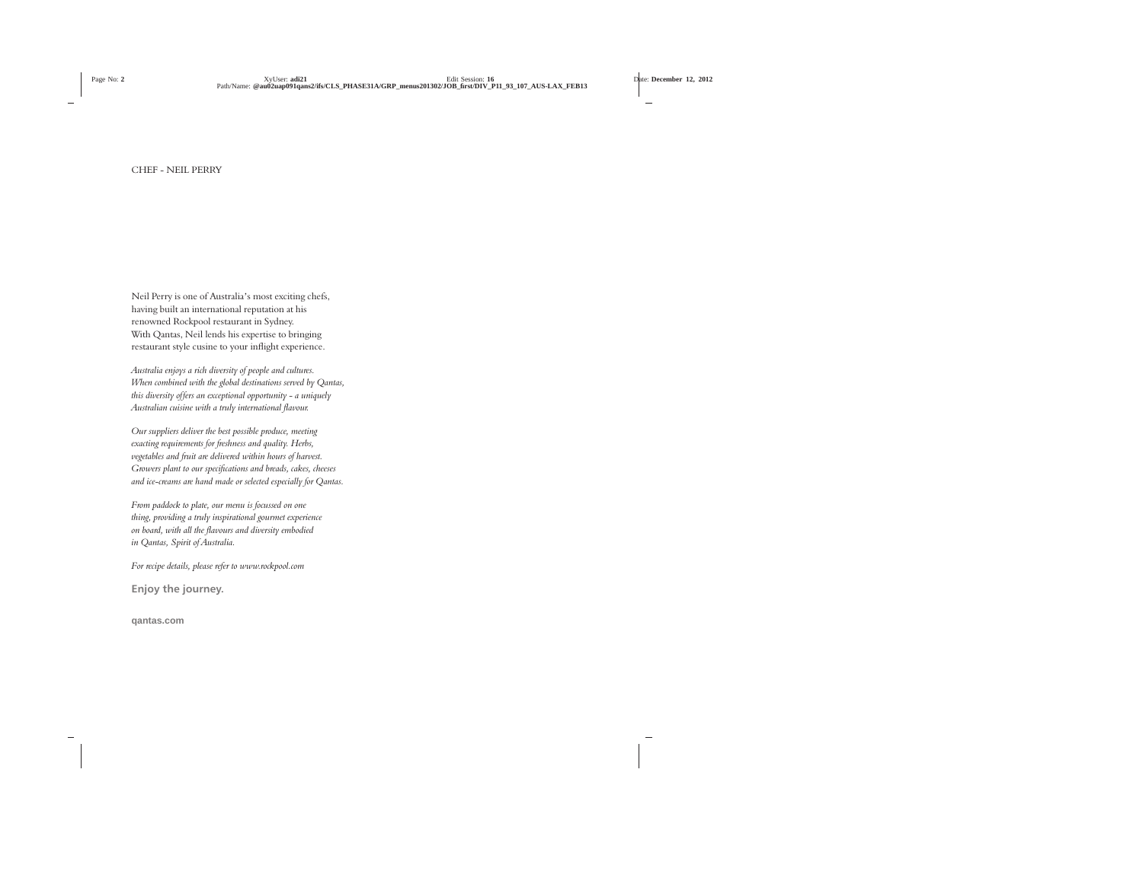Neil Perry is one of Australia's most exciting chefs, having built an international reputation at his renowned Rockpool restaurant in Sydney. With Qantas, Neil lends his expertise to bringing restaurant style cusine to your inflight experience.

*Australia enjoys a rich diversity of people and cultures. When combined with the global destinations served by Qantas, this diversity offers an exceptional opportunity - a uniquely Australian cuisine with a truly international flavour.*

*Our suppliers deliver the best possible produce, meeting exacting requirements for freshness and quality. Herbs, vegetables and fruit are delivered within hours of harvest. Growers plant to our specifications and breads, cakes, cheeses and ice-creams are hand made or selected especially for Qantas.*

*From paddock to plate, our menu is focussed on one thing, providing a truly inspirational gourmet experience on board, with all the flavours and diversity embodied in Qantas, Spirit of Australia.*

*For recipe details, please refer to www.rockpool.com*

**Enjoy the journey.**

**qantas.com**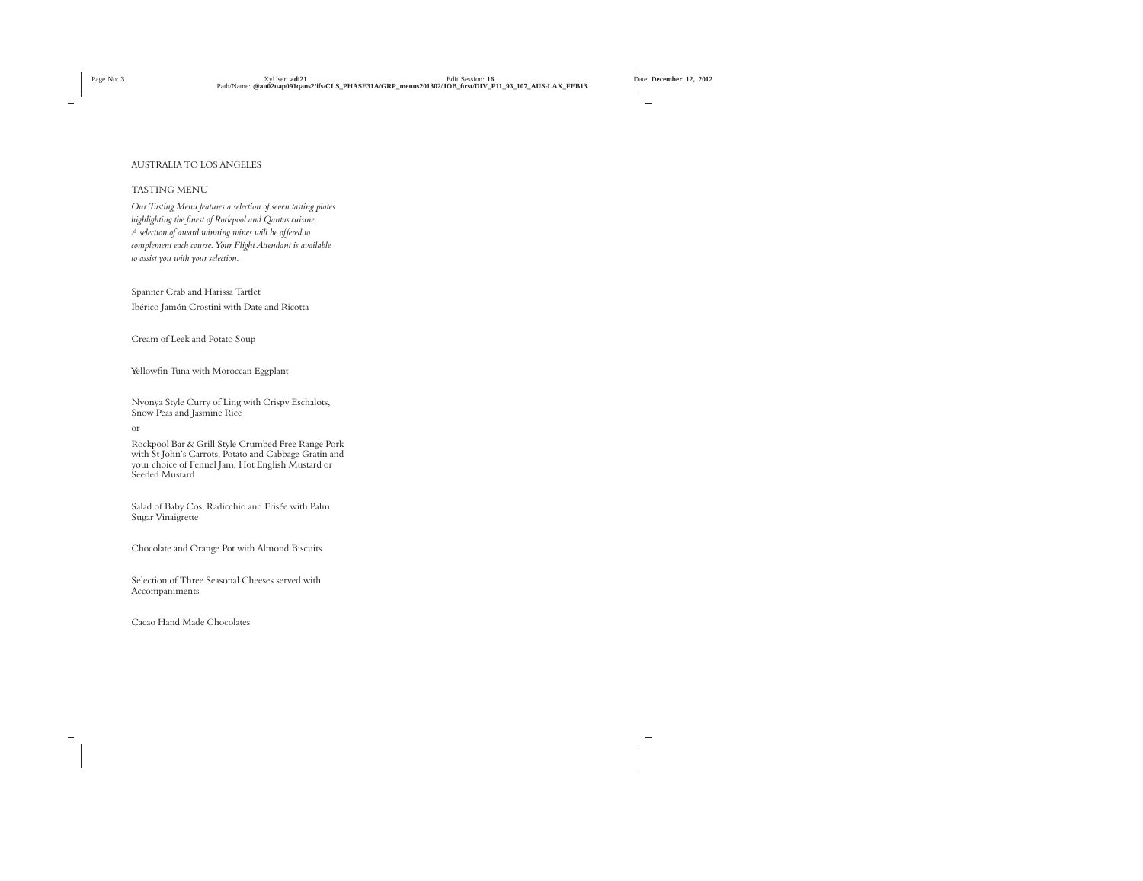# AUSTRALIA TO LOS ANGELES

# TASTING MENU

*Our Tasting Menu features a selection of seven tasting plates highlighting the finest of Rockpool and Qantas cuisine. A selection of award winning wines will be offered to complement each course. Your Flight Attendant is available to assist you with your selection.*

Spanner Crab and Harissa Tartlet Ibérico Jamón Crostini with Date and Ricotta

Cream of Leek and Potato Soup

Yellowfin Tuna with Moroccan Eggplant

Nyonya Style Curry of Ling with Crispy Eschalots, Snow Peas and Jasmine Rice

or

Rockpool Bar & Grill Style Crumbed Free Range Pork with St John's Carrots, Potato and Cabbage Gratin and your choice of Fennel Jam, Hot English Mustard or Seeded Mustard

Salad of Baby Cos, Radicchio and Frisée with Palm Sugar Vinaigrette

Chocolate and Orange Pot with Almond Biscuits

Selection of Three Seasonal Cheeses served with Accompaniments

Cacao Hand Made Chocolates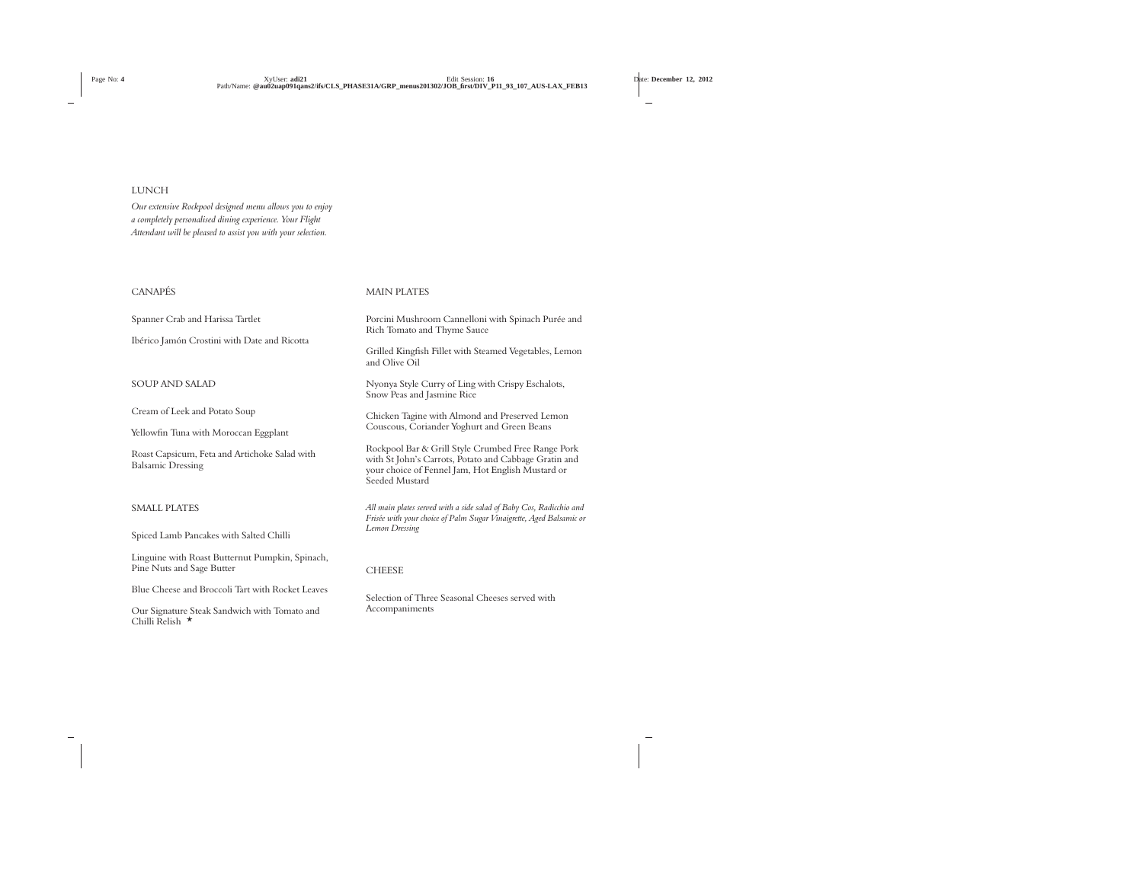# LUNCH

*Our extensive Rockpool designed menu allows you to enjoy a completely personalised dining experience. Your Flight Attendant will be pleased to assist you with your selection.*

# CANAPÉS

Spanner Crab and Harissa Tartlet

Ibérico Jamón Crostini with Date and Ricotta

# SOUP AND SALAD

Cream of Leek and Potato Soup

Yellowfin Tuna with Moroccan Eggplant

Roast Capsicum, Feta and Artichoke Salad with Balsamic Dressing

### SMALL PLATES

Spiced Lamb Pancakes with Salted Chilli

Linguine with Roast Butternut Pumpkin, Spinach, Pine Nuts and Sage Butter

Blue Cheese and Broccoli Tart with Rocket Leaves

Our Signature Steak Sandwich with Tomato and Chilli Relish  $\star$ 

# MAIN PLATES

Porcini Mushroom Cannelloni with Spinach Purée and Rich Tomato and Thyme Sauce

Grilled Kingfish Fillet with Steamed Vegetables, Lemon and Olive Oil

Nyonya Style Curry of Ling with Crispy Eschalots, Snow Peas and Jasmine Rice

Chicken Tagine with Almond and Preserved Lemon Couscous, Coriander Yoghurt and Green Beans

Rockpool Bar & Grill Style Crumbed Free Range Pork with St John's Carrots, Potato and Cabbage Gratin and your choice of Fennel Jam, Hot English Mustard or Seeded Mustard

*All main plates served with a side salad of Baby Cos, Radicchio and Frisée with your choice of Palm Sugar Vinaigrette, Aged Balsamic or Lemon Dressing*

### **CHEESE**

Selection of Three Seasonal Cheeses served with Accompaniments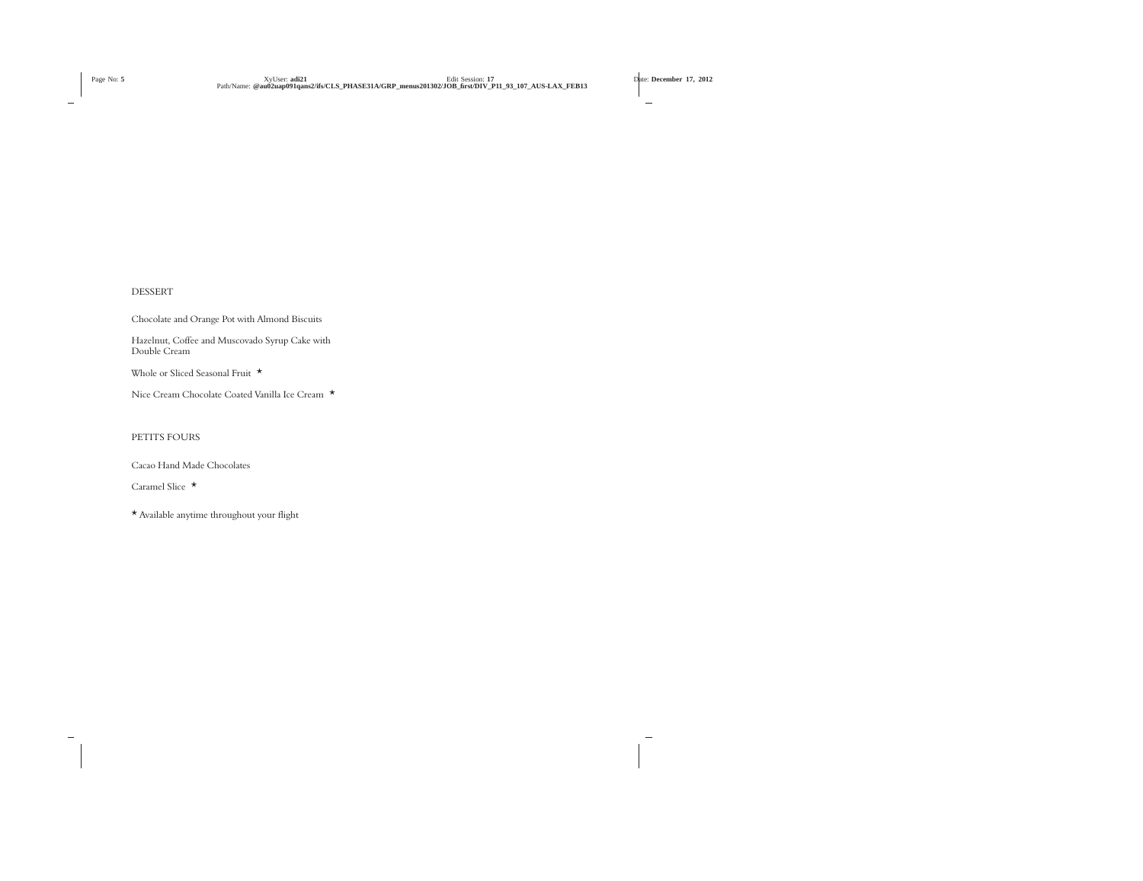# DESSERT

Chocolate and Orange Pot with Almond Biscuits Hazelnut, Coffee and Muscovado Syrup Cake with Double Cream Whole or Sliced Seasonal Fruit \*

Nice Cream Chocolate Coated Vanilla Ice Cream \*

# PETITS FOURS

Cacao Hand Made Chocolates

Caramel Slice \*

\* Available anytime throughout your flight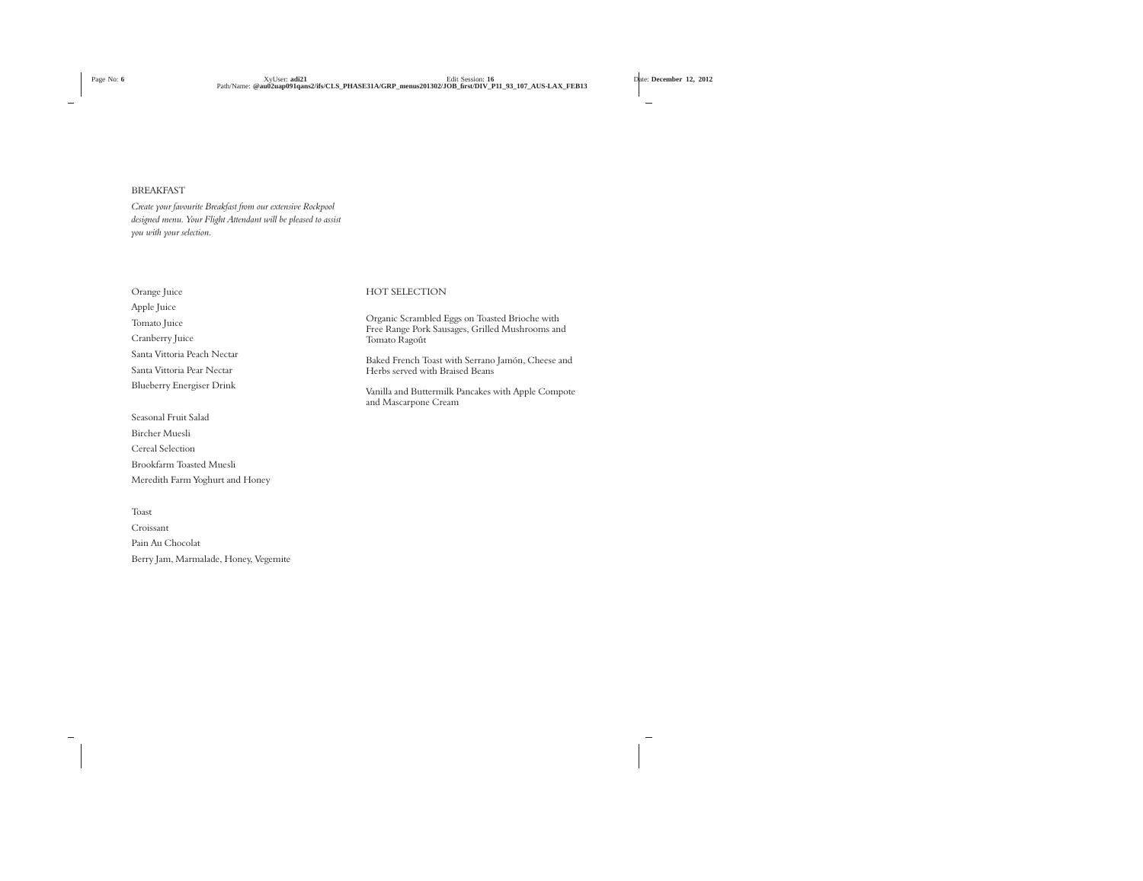### BREAKFAST

*Create your favourite Breakfast from our extensive Rockpool designed menu. Your Flight Attendant will be pleased to assist you with your selection.*

Orange Juice Apple Juice Tomato Juice Cranberry Juice Santa Vittoria Peach Nectar Santa Vittoria Pear Nectar Blueberry Energiser Drink

Seasonal Fruit Salad Bircher Muesli Cereal Selection Brookfarm Toasted Muesli Meredith Farm Yoghurt and Honey

Toast Croissant Pain Au Chocolat Berry Jam, Marmalade, Honey, Vegemite

# HOT SELECTION

Organic Scrambled Eggs on Toasted Brioche with Free Range Pork Sausages, Grilled Mushrooms and Tomato Ragoût

Baked French Toast with Serrano Jamón, Cheese and Herbs served with Braised Beans

Vanilla and Buttermilk Pancakes with Apple Compote and Mascarpone Cream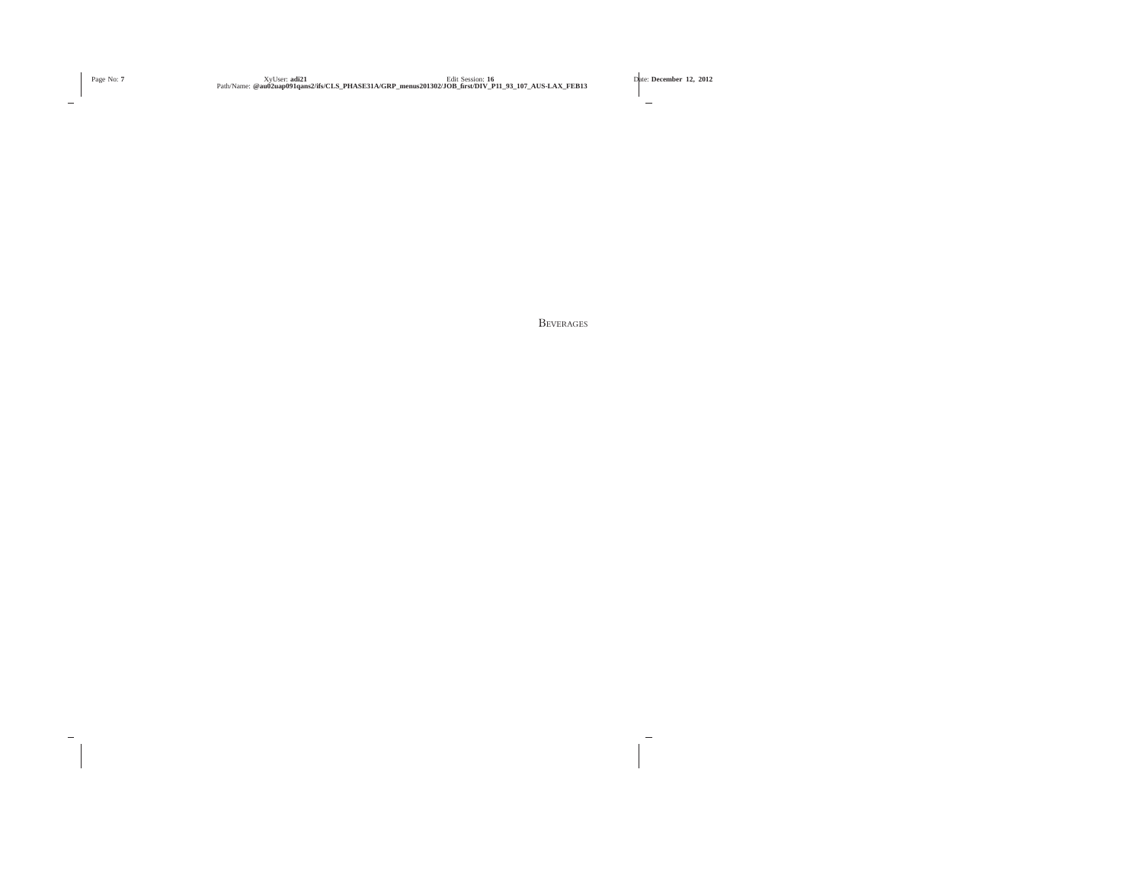**BEVERAGES**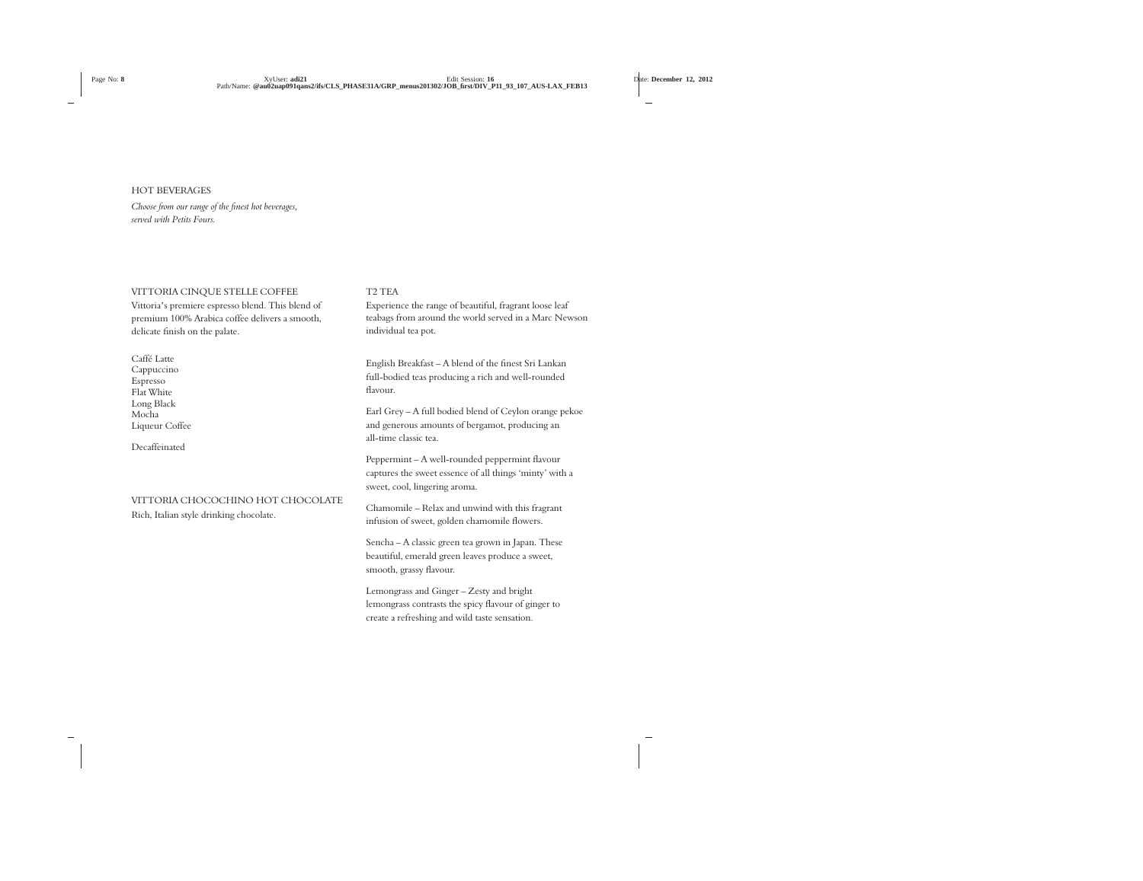# HOT BEVERAGES

*Choose from our range of the finest hot beverages, served with Petits Fours.*

# VITTORIA CINQUE STELLE COFFEE

Vittoria's premiere espresso blend. This blend of premium 100% Arabica coffee delivers a smooth, delicate finish on the palate.

Caffé Latte Cappuccino Espresso Flat White Long Black Mocha Liqueur Coffee

Decaffeinated

# VITTORIA CHOCOCHINO HOT CHOCOLATE

Rich, Italian style drinking chocolate.

# T2 TEA

Experience the range of beautiful, fragrant loose leaf teabags from around the world served in a Marc Newson individual tea pot.

English Breakfast – A blend of the finest Sri Lankan full-bodied teas producing a rich and well-rounded flavour.

Earl Grey – A full bodied blend of Ceylon orange pekoe and generous amounts of bergamot, producing an all-time classic tea.

Peppermint – A well-rounded peppermint flavour captures the sweet essence of all things 'minty' with a sweet, cool, lingering aroma.

Chamomile – Relax and unwind with this fragrant infusion of sweet, golden chamomile flowers.

Sencha – A classic green tea grown in Japan. These beautiful, emerald green leaves produce a sweet, smooth, grassy flavour.

Lemongrass and Ginger – Zesty and bright lemongrass contrasts the spicy flavour of ginger to create a refreshing and wild taste sensation.